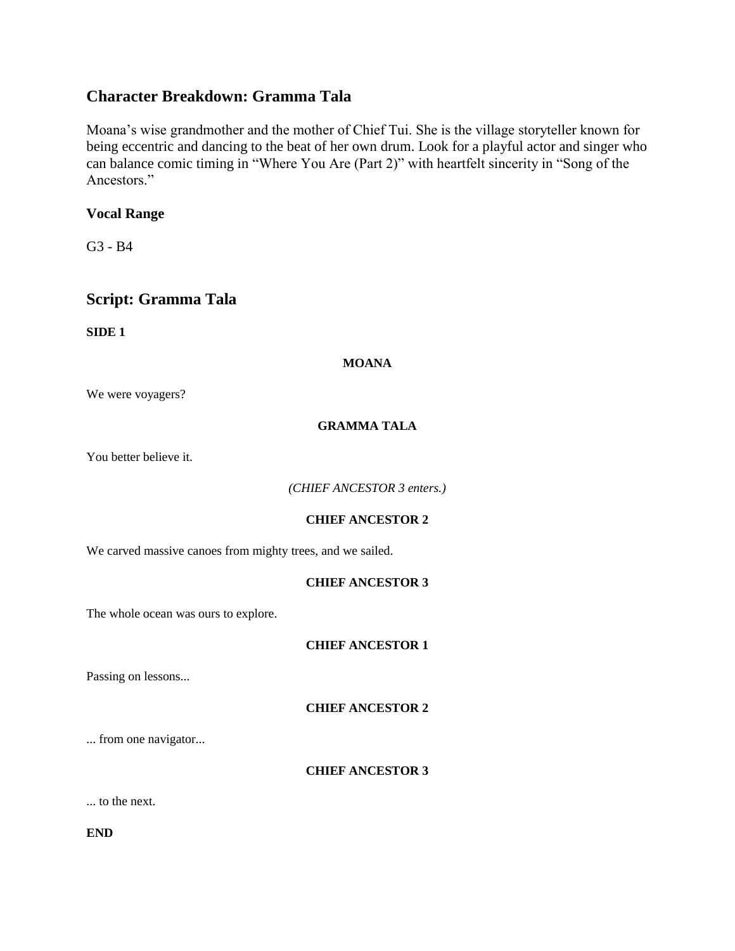# **Character Breakdown: Gramma Tala**

Moana's wise grandmother and the mother of Chief Tui. She is the village storyteller known for being eccentric and dancing to the beat of her own drum. Look for a playful actor and singer who can balance comic timing in "Where You Are (Part 2)" with heartfelt sincerity in "Song of the Ancestors."

# **Vocal Range**

G3 - B4

# **Script: Gramma Tala**

**SIDE 1**

**MOANA**

We were voyagers?

# **GRAMMA TALA**

You better believe it.

*(CHIEF ANCESTOR 3 enters.)*

# **CHIEF ANCESTOR 2**

We carved massive canoes from mighty trees, and we sailed.

# **CHIEF ANCESTOR 3**

The whole ocean was ours to explore.

**CHIEF ANCESTOR 1**

Passing on lessons...

**CHIEF ANCESTOR 2**

... from one navigator...

**CHIEF ANCESTOR 3**

... to the next.

**END**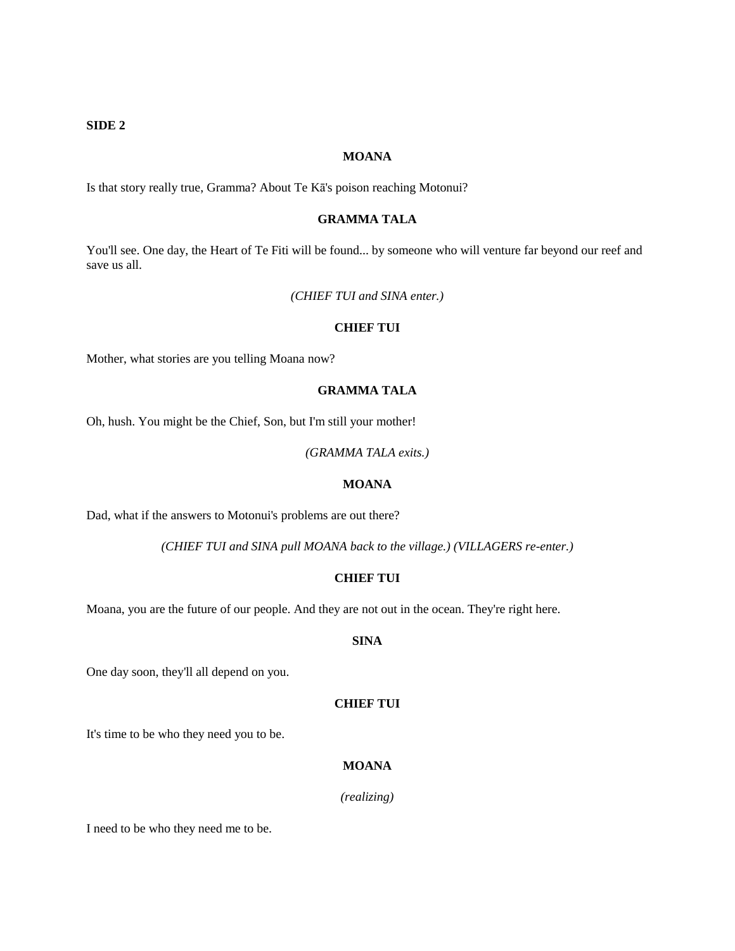## **SIDE 2**

#### **MOANA**

Is that story really true, Gramma? About Te Kā's poison reaching Motonui?

## **GRAMMA TALA**

You'll see. One day, the Heart of Te Fiti will be found... by someone who will venture far beyond our reef and save us all.

*(CHIEF TUI and SINA enter.)*

#### **CHIEF TUI**

Mother, what stories are you telling Moana now?

## **GRAMMA TALA**

Oh, hush. You might be the Chief, Son, but I'm still your mother!

*(GRAMMA TALA exits.)*

#### **MOANA**

Dad, what if the answers to Motonui's problems are out there?

*(CHIEF TUI and SINA pull MOANA back to the village.) (VILLAGERS re-enter.)*

## **CHIEF TUI**

Moana, you are the future of our people. And they are not out in the ocean. They're right here.

## **SINA**

One day soon, they'll all depend on you.

#### **CHIEF TUI**

It's time to be who they need you to be.

# **MOANA**

*(realizing)*

I need to be who they need me to be.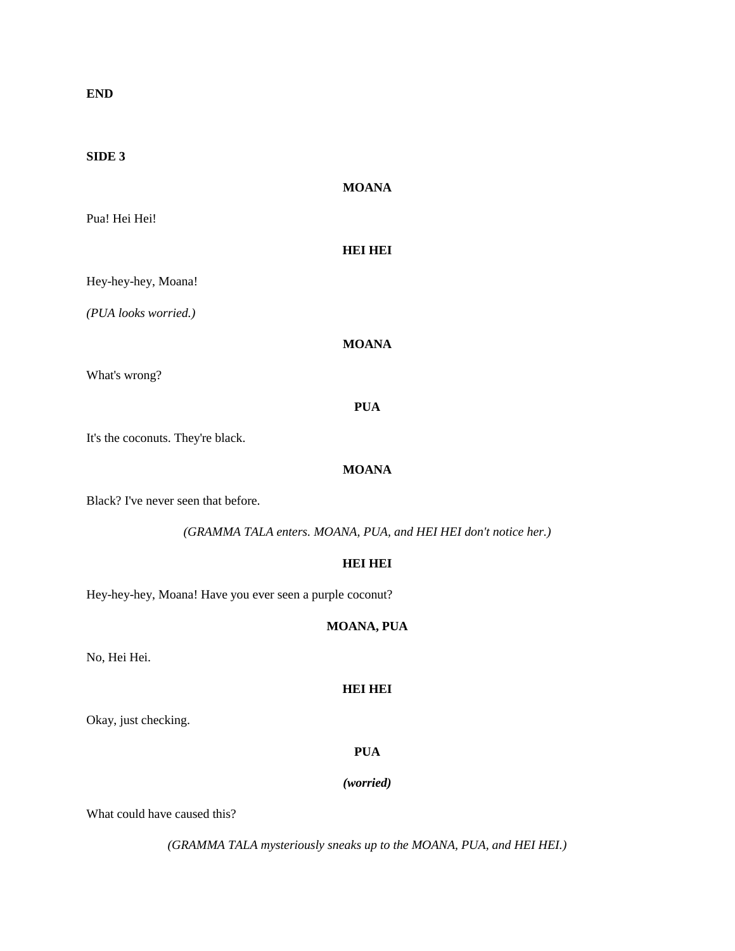**END**

## **SIDE 3**

# **MOANA**

Pua! Hei Hei!

#### **HEI HEI**

Hey-hey-hey, Moana!

*(PUA looks worried.)*

# **MOANA**

What's wrong?

## **PUA**

It's the coconuts. They're black.

# **MOANA**

Black? I've never seen that before.

*(GRAMMA TALA enters. MOANA, PUA, and HEI HEI don't notice her.)*

# **HEI HEI**

Hey-hey-hey, Moana! Have you ever seen a purple coconut?

# **MOANA, PUA**

No, Hei Hei.

# **HEI HEI**

Okay, just checking.

# **PUA**

#### *(worried)*

What could have caused this?

*(GRAMMA TALA mysteriously sneaks up to the MOANA, PUA, and HEI HEI.)*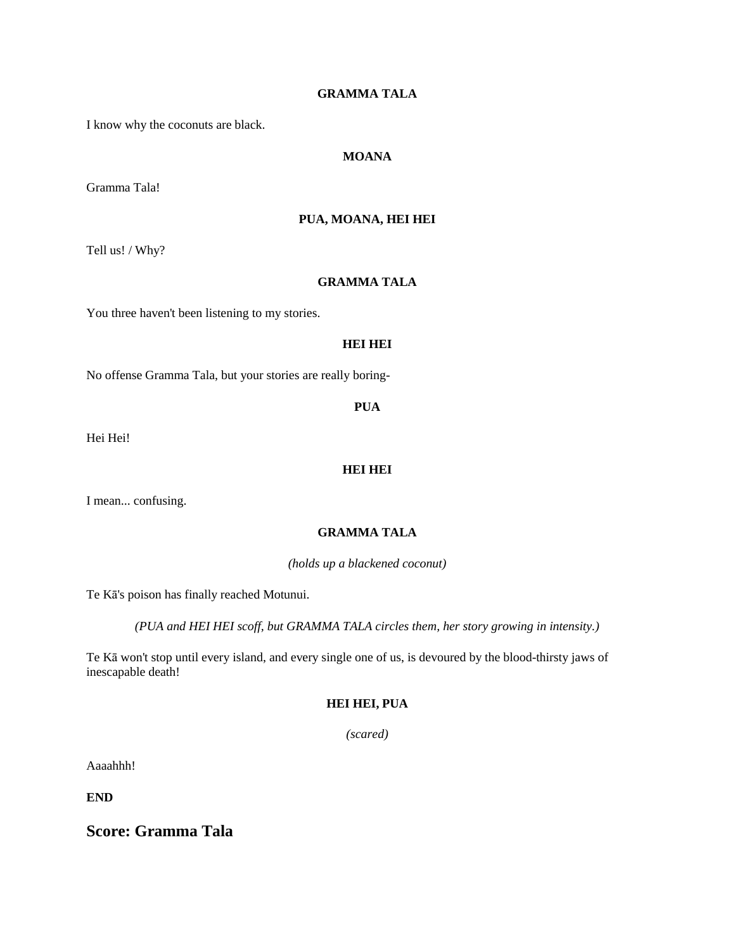# **GRAMMA TALA**

I know why the coconuts are black.

# **MOANA**

Gramma Tala!

## **PUA, MOANA, HEI HEI**

Tell us! / Why?

#### **GRAMMA TALA**

You three haven't been listening to my stories.

## **HEI HEI**

No offense Gramma Tala, but your stories are really boring-

**PUA**

Hei Hei!

## **HEI HEI**

I mean... confusing.

# **GRAMMA TALA**

*(holds up a blackened coconut)*

Te Kā's poison has finally reached Motunui.

*(PUA and HEI HEI scoff, but GRAMMA TALA circles them, her story growing in intensity.)*

Te Kā won't stop until every island, and every single one of us, is devoured by the blood-thirsty jaws of inescapable death!

# **HEI HEI, PUA**

*(scared)*

Aaaahhh!

**END**

**Score: Gramma Tala**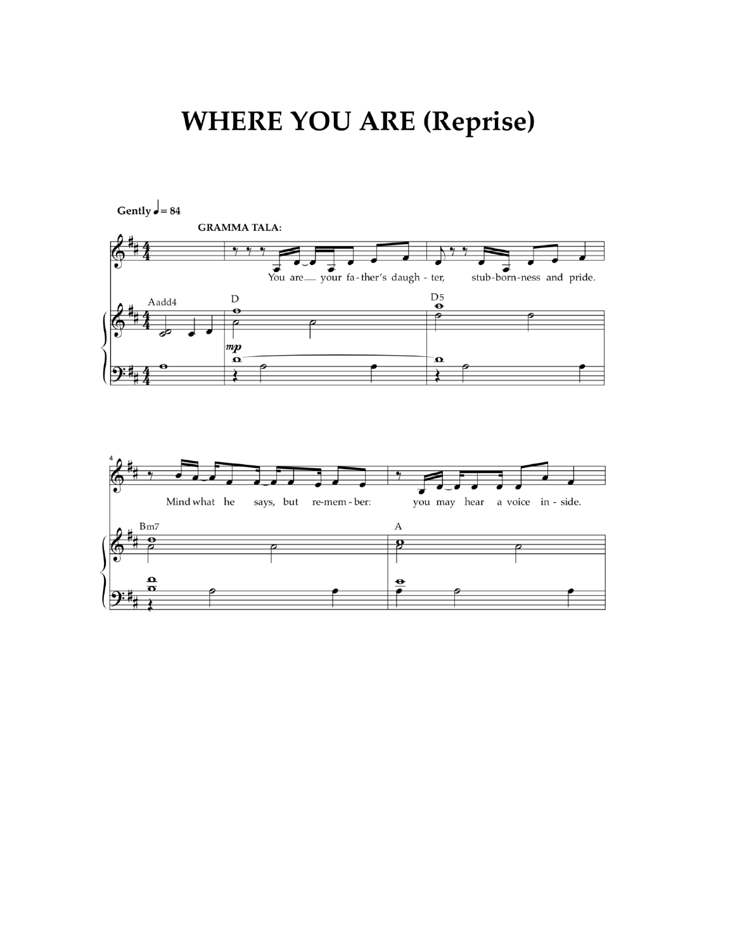# **WHERE YOU ARE (Reprise)**